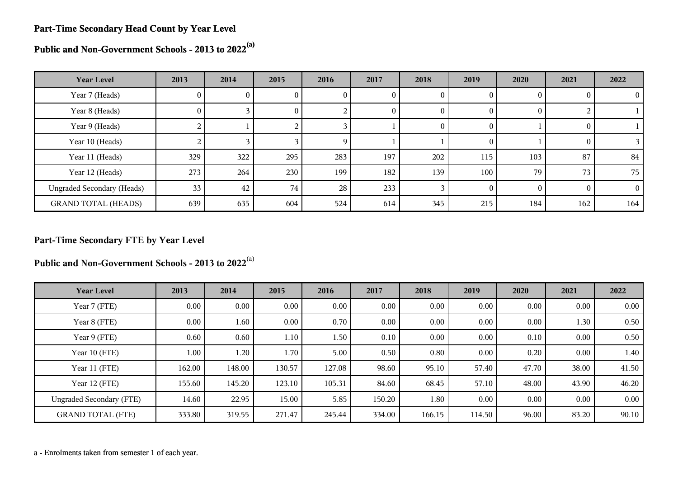#### **Part-Time Secondary Head Count by Year Level**

**Public and Non-Government Schools - 2013 to 2022(a)**

| <b>Year Level</b>                 | 2013           | 2014 | 2015            | 2016 | 2017     | 2018     | 2019           | 2020     | 2021 | 2022     |
|-----------------------------------|----------------|------|-----------------|------|----------|----------|----------------|----------|------|----------|
| Year 7 (Heads)                    | 0              | U.   | O.              | v    | U        | U        | 0              |          |      | $\theta$ |
| Year 8 (Heads)                    | 0              |      | $\Omega$        |      | $\theta$ | 0        | $\theta$       | O        |      |          |
| Year 9 (Heads)                    | $\overline{a}$ |      |                 |      |          | $\theta$ | $\overline{0}$ |          |      |          |
| Year 10 (Heads)                   |                |      |                 | q    |          |          | $\left($       |          |      |          |
| Year 11 (Heads)                   | 329            | 322  | 295             | 283  | 197      | 202      | 115            | 103      | 87   | 84       |
| Year 12 (Heads)                   | 273            | 264  | 230             | 199  | 182      | 139      | 100            | 79       | 73   | 75       |
| <b>Ungraded Secondary (Heads)</b> | 33             | 42   | 74 <sub>1</sub> | 28   | 233      |          | $\theta$       | $\Omega$ |      | $\Omega$ |
| <b>GRAND TOTAL (HEADS)</b>        | 639            | 635  | 604             | 524  | 614      | 345      | 215            | 184      | 162  | 164      |

# **Part-Time Secondary FTE by Year Level**

**Public and Non-Government Schools - 2013 to 2022**(a)

| <b>Year Level</b>               | 2013     | 2014     | 2015     | 2016   | 2017   | 2018   | 2019   | 2020  | 2021  | 2022  |
|---------------------------------|----------|----------|----------|--------|--------|--------|--------|-------|-------|-------|
| Year 7 (FTE)                    | $0.00\,$ | $0.00\,$ | $0.00\,$ | 0.00   | 0.00   | 0.00   | 0.00   | 0.00  | 0.00  | 0.00  |
| Year 8 (FTE)                    | $0.00\,$ | 1.60     | $0.00\,$ | 0.70   | 0.00   | 0.00   | 0.00   | 0.00  | 1.30  | 0.50  |
| Year 9 (FTE)                    | 0.60     | 0.60     | 1.10     | 1.50   | 0.10   | 0.00   | 0.00   | 0.10  | 0.00  | 0.50  |
| Year 10 (FTE)                   | 1.00     | 1.20     | 1.70     | 5.00   | 0.50   | 0.80   | 0.00   | 0.20  | 0.00  | 1.40  |
| Year 11 (FTE)                   | 162.00   | 148.00   | 130.57   | 127.08 | 98.60  | 95.10  | 57.40  | 47.70 | 38.00 | 41.50 |
| Year 12 (FTE)                   | 155.60   | 145.20   | 123.10   | 105.31 | 84.60  | 68.45  | 57.10  | 48.00 | 43.90 | 46.20 |
| <b>Ungraded Secondary (FTE)</b> | 14.60    | 22.95    | 15.00    | 5.85   | 150.20 | 1.80   | 0.00   | 0.00  | 0.00  | 0.00  |
| <b>GRAND TOTAL (FTE)</b>        | 333.80   | 319.55   | 271.47   | 245.44 | 334.00 | 166.15 | 114.50 | 96.00 | 83.20 | 90.10 |

a - Enrolments taken from semester 1 of each year.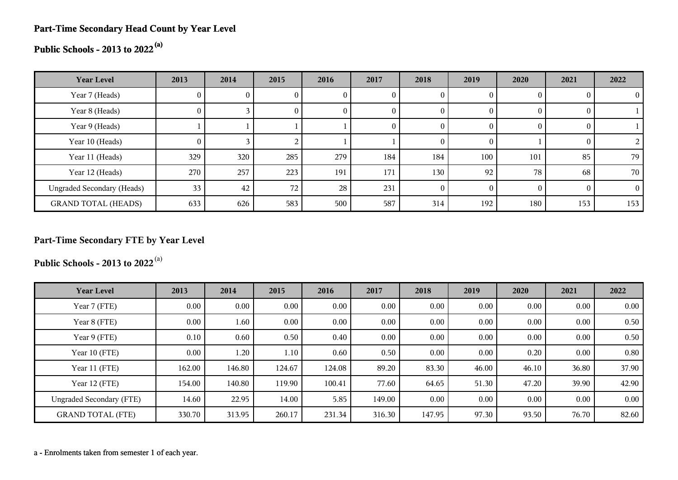#### **Part-Time Secondary Head Count by Year Level**

# **Public Schools - 2013 to 2022(a)**

| <b>Year Level</b>                 | 2013            | 2014 | 2015            | 2016 | 2017     | 2018           | 2019 | 2020     | 2021     | 2022     |
|-----------------------------------|-----------------|------|-----------------|------|----------|----------------|------|----------|----------|----------|
| Year 7 (Heads)                    | O.              |      | v               |      |          | $\theta$       |      | $\theta$ |          |          |
| Year 8 (Heads)                    | $\overline{0}$  |      | 0               | U    |          | $\theta$       |      | $\theta$ |          |          |
| Year 9 (Heads)                    |                 |      |                 |      | $\theta$ | $\mathbf{0}$   |      | $\theta$ | 0        |          |
| Year 10 (Heads)                   | $\overline{0}$  |      |                 |      |          | $\overline{0}$ |      |          |          |          |
| Year 11 (Heads)                   | 329             | 320  | 285             | 279  | 184      | 184            | 100  | 101      | 85       | 79       |
| Year 12 (Heads)                   | 270             | 257  | 223             | 191  | 171      | 130            | 92   | 78       | 68       | 70       |
| <b>Ungraded Secondary (Heads)</b> | 33 <sub>1</sub> | 42   | 72 <sub>1</sub> | 28   | 231      | $\theta$       |      | $\Omega$ | $\Omega$ | $\Omega$ |
| <b>GRAND TOTAL (HEADS)</b>        | 633             | 626  | 583             | 500  | 587      | 314            | 192  | 180      | 153      | 153      |

# **Part-Time Secondary FTE by Year Level**

**Public Schools - 2013 to 2022**(a)

| <b>Year Level</b>               | 2013     | 2014     | 2015     | 2016   | 2017   | 2018   | 2019  | 2020     | 2021     | 2022  |
|---------------------------------|----------|----------|----------|--------|--------|--------|-------|----------|----------|-------|
| Year 7 (FTE)                    | $0.00\,$ | $0.00\,$ | 0.00     | 0.00   | 0.00   | 0.00   | 0.00  | $0.00\,$ | 0.00     | 0.00  |
| Year 8 (FTE)                    | 0.00     | 1.60     | $0.00\,$ | 0.00   | 0.00   | 0.00   | 0.00  | $0.00\,$ | $0.00\,$ | 0.50  |
| Year 9 (FTE)                    | 0.10     | 0.60     | 0.50     | 0.40   | 0.00   | 0.00   | 0.00  | 0.00     | 0.00     | 0.50  |
| Year 10 (FTE)                   | $0.00\,$ | 1.20     | 1.10     | 0.60   | 0.50   | 0.00   | 0.00  | 0.20     | $0.00\,$ | 0.80  |
| Year 11 (FTE)                   | 162.00   | 146.80   | 124.67   | 124.08 | 89.20  | 83.30  | 46.00 | 46.10    | 36.80    | 37.90 |
| Year 12 (FTE)                   | 154.00   | 140.80   | 119.90   | 100.41 | 77.60  | 64.65  | 51.30 | 47.20    | 39.90    | 42.90 |
| <b>Ungraded Secondary (FTE)</b> | 14.60    | 22.95    | 14.00    | 5.85   | 149.00 | 0.00   | 0.00  | $0.00\,$ | 0.00     | 0.00  |
| <b>GRAND TOTAL (FTE)</b>        | 330.70   | 313.95   | 260.17   | 231.34 | 316.30 | 147.95 | 97.30 | 93.50    | 76.70    | 82.60 |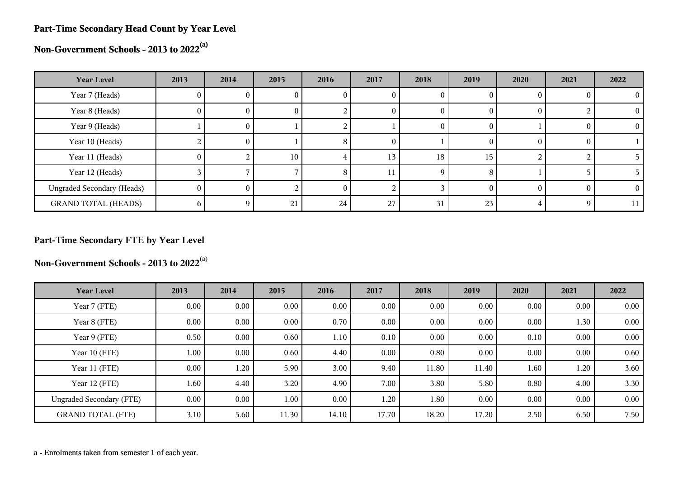#### **Part-Time Secondary Head Count by Year Level**

**Non-Government Schools - 2013 to 2022(a)**

| <b>Year Level</b>                 | 2013     | 2014 | 2015            | 2016 | 2017 | 2018 | 2019 | 2020     | 2021 | 2022     |
|-----------------------------------|----------|------|-----------------|------|------|------|------|----------|------|----------|
| Year 7 (Heads)                    | 0        |      |                 |      |      |      |      |          |      | 0        |
| Year 8 (Heads)                    | $\theta$ | U.   | 0               |      | U    | 0    | O    | O        |      | $\Omega$ |
| Year 9 (Heads)                    |          | U.   |                 |      |      | U    | O    |          |      | $\Omega$ |
| Year 10 (Heads)                   |          | O.   |                 | 8    | O    |      |      | $\theta$ |      |          |
| Year 11 (Heads)                   | $\Omega$ |      | 10 <sub>1</sub> |      | 13   | 18   | 15   |          |      |          |
| Year 12 (Heads)                   |          |      |                 | 8    |      | 9    | 8    |          |      |          |
| <b>Ungraded Secondary (Heads)</b> | $\Omega$ |      |                 |      |      |      |      |          |      | 0        |
| <b>GRAND TOTAL (HEADS)</b>        |          |      | 21              | 24   | 27   | 31   | 23   |          |      | 11       |

# **Part-Time Secondary FTE by Year Level**

**Non-Government Schools - 2013 to 2022**(a)

| <b>Year Level</b>               | 2013     | 2014     | 2015  | 2016  | 2017  | 2018  | 2019  | 2020     | 2021     | 2022 |
|---------------------------------|----------|----------|-------|-------|-------|-------|-------|----------|----------|------|
| Year 7 (FTE)                    | 0.00     | $0.00\,$ | 0.00  | 0.00  | 0.00  | 0.00  | 0.00  | $0.00\,$ | $0.00\,$ | 0.00 |
| Year 8 (FTE)                    | 0.00     | $0.00\,$ | 0.00  | 0.70  | 0.00  | 0.00  | 0.00  | $0.00\,$ | 1.30     | 0.00 |
| Year 9 (FTE)                    | 0.50     | $0.00\,$ | 0.60  | 1.10  | 0.10  | 0.00  | 0.00  | 0.10     | 0.00     | 0.00 |
| Year 10 (FTE)                   | $1.00\,$ | $0.00\,$ | 0.60  | 4.40  | 0.00  | 0.80  | 0.00  | 0.00     | 0.00     | 0.60 |
| Year 11 (FTE)                   | $0.00\,$ | 1.20     | 5.90  | 3.00  | 9.40  | 11.80 | 11.40 | 1.60     | 1.20     | 3.60 |
| Year 12 (FTE)                   | 1.60     | 4.40     | 3.20  | 4.90  | 7.00  | 3.80  | 5.80  | 0.80     | 4.00     | 3.30 |
| <b>Ungraded Secondary (FTE)</b> | 0.00     | $0.00\,$ | 1.00  | 0.00  | 1.20  | 1.80  | 0.00  | $0.00\,$ | $0.00\,$ | 0.00 |
| <b>GRAND TOTAL (FTE)</b>        | 3.10     | 5.60     | 11.30 | 14.10 | 17.70 | 18.20 | 17.20 | 2.50     | 6.50     | 7.50 |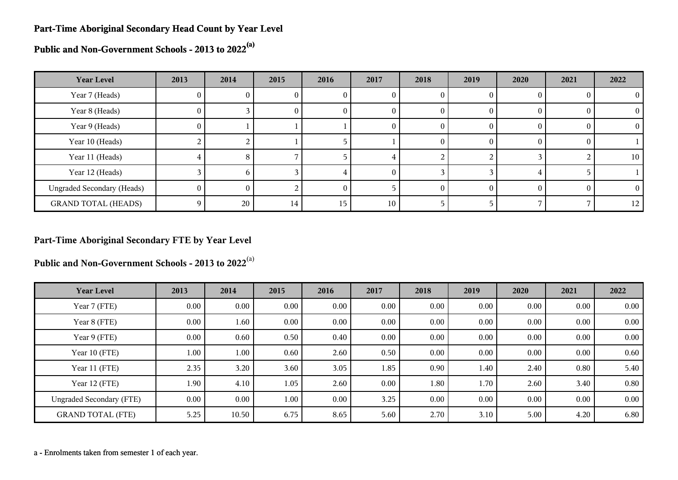#### **Part-Time Aboriginal Secondary Head Count by Year Level**

**Public and Non-Government Schools - 2013 to 2022(a)**

| <b>Year Level</b>                 | 2013     | 2014 | 2015 | 2016 | 2017 | 2018   | 2019 | 2020     | 2021 | 2022     |
|-----------------------------------|----------|------|------|------|------|--------|------|----------|------|----------|
| Year 7 (Heads)                    | 0        | v    |      | U    | U    | U      |      |          |      | $\theta$ |
| Year 8 (Heads)                    | $\theta$ |      | O.   | U    | U    | O      |      | $_{0}$   |      | $\theta$ |
| Year 9 (Heads)                    | $\theta$ |      |      |      | O    | $_{0}$ | 0    | $_{0}$   |      | $\Omega$ |
| Year 10 (Heads)                   |          |      |      |      |      | 0      |      |          |      |          |
| Year 11 (Heads)                   |          | 8.   |      |      |      |        |      |          |      | 10       |
| Year 12 (Heads)                   |          | n    |      |      |      |        |      |          |      |          |
| <b>Ungraded Secondary (Heads)</b> | $\theta$ | 0    |      |      |      |        |      | $\Omega$ |      | $\theta$ |
| <b>GRAND TOTAL (HEADS)</b>        | 0        | 20   | 14   | 15   | 10   |        |      |          |      | 12       |

#### **Part-Time Aboriginal Secondary FTE by Year Level**

**Public and Non-Government Schools - 2013 to 2022**(a)

| <b>Year Level</b>               | 2013 | 2014     | 2015 | 2016 | 2017 | 2018 | 2019 | 2020     | 2021 | 2022 |
|---------------------------------|------|----------|------|------|------|------|------|----------|------|------|
| Year 7 (FTE)                    | 0.00 | $0.00\,$ | 0.00 | 0.00 | 0.00 | 0.00 | 0.00 | $0.00\,$ | 0.00 | 0.00 |
| Year 8 (FTE)                    | 0.00 | 1.60     | 0.00 | 0.00 | 0.00 | 0.00 | 0.00 | 0.00     | 0.00 | 0.00 |
| Year 9 (FTE)                    | 0.00 | 0.60     | 0.50 | 0.40 | 0.00 | 0.00 | 0.00 | 0.00     | 0.00 | 0.00 |
| Year 10 (FTE)                   | 1.00 | 1.00     | 0.60 | 2.60 | 0.50 | 0.00 | 0.00 | 0.00     | 0.00 | 0.60 |
| Year 11 (FTE)                   | 2.35 | 3.20     | 3.60 | 3.05 | 1.85 | 0.90 | 1.40 | 2.40     | 0.80 | 5.40 |
| Year 12 (FTE)                   | 1.90 | 4.10     | 1.05 | 2.60 | 0.00 | 1.80 | 1.70 | 2.60     | 3.40 | 0.80 |
| <b>Ungraded Secondary (FTE)</b> | 0.00 | $0.00\,$ | 1.00 | 0.00 | 3.25 | 0.00 | 0.00 | 0.00     | 0.00 | 0.00 |
| <b>GRAND TOTAL (FTE)</b>        | 5.25 | 10.50    | 6.75 | 8.65 | 5.60 | 2.70 | 3.10 | 5.00     | 4.20 | 6.80 |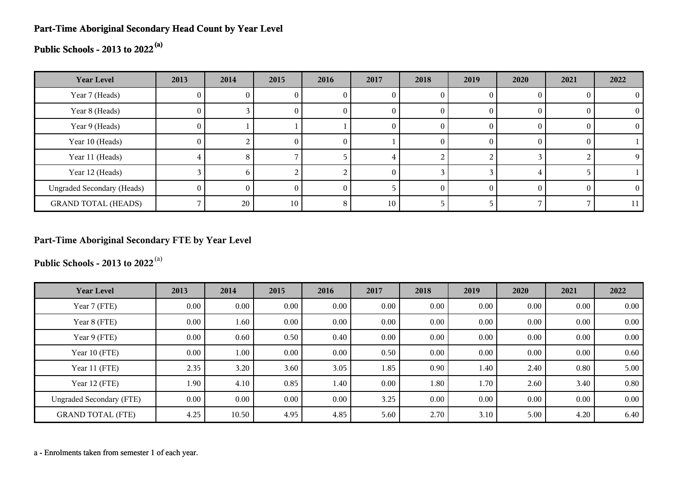## **Part-Time Aboriginal Secondary Head Count by Year Level**

# **Public Schools - 2013 to 2022(a)**

| <b>Year Level</b>                 | 2013     | 2014 | 2015 | 2016 | 2017   | 2018 | 2019     | 2020 | 2021 | 2022     |
|-----------------------------------|----------|------|------|------|--------|------|----------|------|------|----------|
| Year 7 (Heads)                    | U.       |      |      | U    |        |      |          |      |      |          |
| Year 8 (Heads)                    | 0        |      | U    | v    | O      |      | $_{0}$   |      |      | $\Omega$ |
| Year 9 (Heads)                    | 0        |      |      |      | O      |      | $\theta$ |      |      | $^{(1)}$ |
| Year 10 (Heads)                   | $\Omega$ |      | O.   | 0    |        |      | $\theta$ |      |      |          |
| Year 11 (Heads)                   |          | 8    |      |      |        |      |          |      |      | Q        |
| Year 12 (Heads)                   |          | h.   |      |      | $_{0}$ |      |          |      |      |          |
| <b>Ungraded Secondary (Heads)</b> | 0        | 0    | 0    | 0    |        |      | $\theta$ |      |      | $\theta$ |
| <b>GRAND TOTAL (HEADS)</b>        |          | 20   | 10   | 8    | $10\,$ |      |          |      |      | 11       |

# **Part-Time Aboriginal Secondary FTE by Year Level**

**Public Schools - 2013 to 2022**(a)

| <b>Year Level</b>               | 2013     | 2014     | 2015 | 2016 | 2017 | 2018 | 2019 | 2020     | 2021 | 2022 |
|---------------------------------|----------|----------|------|------|------|------|------|----------|------|------|
| Year 7 (FTE)                    | $0.00\,$ | $0.00\,$ | 0.00 | 0.00 | 0.00 | 0.00 | 0.00 | 0.00     | 0.00 | 0.00 |
| Year 8 (FTE)                    | 0.00     | 1.60     | 0.00 | 0.00 | 0.00 | 0.00 | 0.00 | 0.00     | 0.00 | 0.00 |
| Year 9 (FTE)                    | $0.00\,$ | 0.60     | 0.50 | 0.40 | 0.00 | 0.00 | 0.00 | 0.00     | 0.00 | 0.00 |
| Year 10 (FTE)                   | $0.00\,$ | 1.00     | 0.00 | 0.00 | 0.50 | 0.00 | 0.00 | 0.00     | 0.00 | 0.60 |
| Year 11 (FTE)                   | 2.35     | 3.20     | 3.60 | 3.05 | 1.85 | 0.90 | 1.40 | 2.40     | 0.80 | 5.00 |
| Year 12 (FTE)                   | 1.90     | 4.10     | 0.85 | 1.40 | 0.00 | 1.80 | 1.70 | 2.60     | 3.40 | 0.80 |
| <b>Ungraded Secondary (FTE)</b> | $0.00\,$ | $0.00\,$ | 0.00 | 0.00 | 3.25 | 0.00 | 0.00 | $0.00\,$ | 0.00 | 0.00 |
| <b>GRAND TOTAL (FTE)</b>        | 4.25     | 10.50    | 4.95 | 4.85 | 5.60 | 2.70 | 3.10 | 5.00     | 4.20 | 6.40 |

a - Enrolments taken from semester 1 of each year.